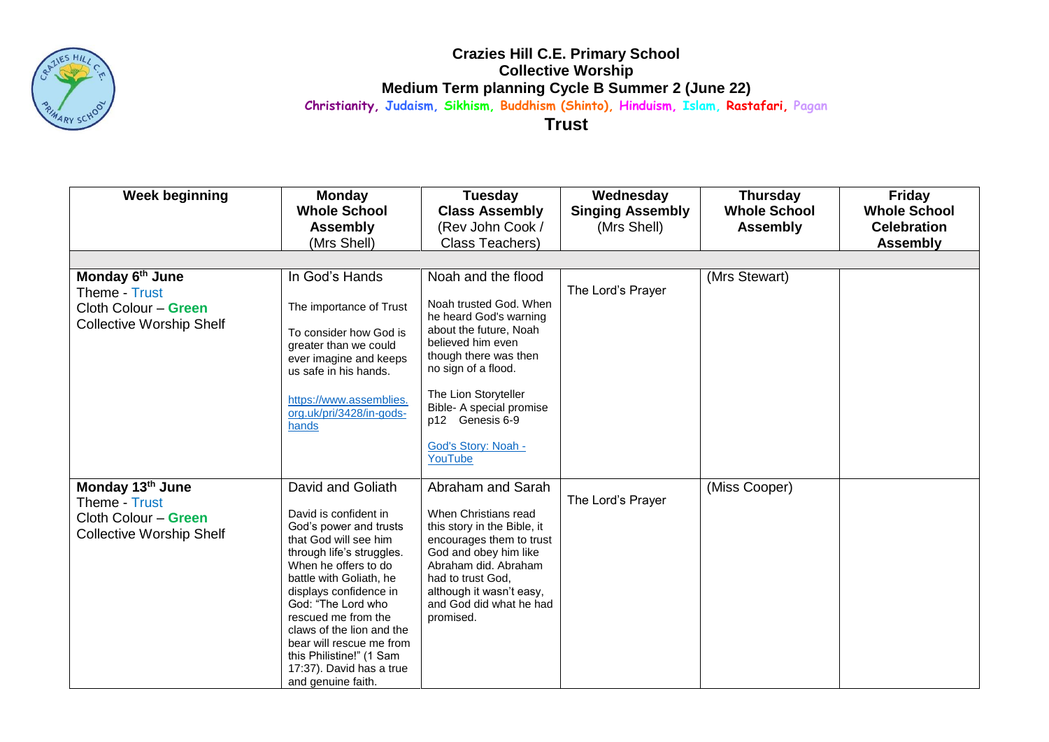

## **Crazies Hill C.E. Primary School Collective Worship Medium Term planning Cycle B Summer 2 (June 22) Christianity, Judaism, Sikhism, Buddhism (Shinto), Hinduism, Islam, Rastafari, Pagan**

**Trust**

| <b>Week beginning</b>           | <b>Monday</b>                                   | <b>Tuesday</b>                                          | Wednesday               | <b>Thursday</b>     | <b>Friday</b>       |
|---------------------------------|-------------------------------------------------|---------------------------------------------------------|-------------------------|---------------------|---------------------|
|                                 | <b>Whole School</b>                             | <b>Class Assembly</b>                                   | <b>Singing Assembly</b> | <b>Whole School</b> | <b>Whole School</b> |
|                                 | <b>Assembly</b>                                 | (Rev John Cook /                                        | (Mrs Shell)             | <b>Assembly</b>     | <b>Celebration</b>  |
|                                 | (Mrs Shell)                                     | Class Teachers)                                         |                         |                     | <b>Assembly</b>     |
|                                 |                                                 |                                                         |                         |                     |                     |
| Monday 6th June                 | In God's Hands                                  | Noah and the flood                                      |                         | (Mrs Stewart)       |                     |
| Theme - Trust                   |                                                 |                                                         | The Lord's Prayer       |                     |                     |
| Cloth Colour - Green            | The importance of Trust                         | Noah trusted God, When                                  |                         |                     |                     |
|                                 |                                                 | he heard God's warning                                  |                         |                     |                     |
| <b>Collective Worship Shelf</b> | To consider how God is                          | about the future, Noah                                  |                         |                     |                     |
|                                 | greater than we could                           | believed him even                                       |                         |                     |                     |
|                                 | ever imagine and keeps                          | though there was then                                   |                         |                     |                     |
|                                 | us safe in his hands.                           | no sign of a flood.                                     |                         |                     |                     |
|                                 |                                                 | The Lion Storyteller                                    |                         |                     |                     |
|                                 | https://www.assemblies.                         | Bible- A special promise                                |                         |                     |                     |
|                                 | org.uk/pri/3428/in-gods-                        | p12 Genesis 6-9                                         |                         |                     |                     |
|                                 | hands                                           |                                                         |                         |                     |                     |
|                                 |                                                 | God's Story: Noah -                                     |                         |                     |                     |
|                                 |                                                 | YouTube                                                 |                         |                     |                     |
|                                 |                                                 |                                                         |                         |                     |                     |
| Monday 13th June                | David and Goliath                               | Abraham and Sarah                                       |                         | (Miss Cooper)       |                     |
| Theme - Trust                   |                                                 |                                                         | The Lord's Prayer       |                     |                     |
| Cloth Colour - Green            | David is confident in                           | When Christians read                                    |                         |                     |                     |
| <b>Collective Worship Shelf</b> | God's power and trusts<br>that God will see him | this story in the Bible, it<br>encourages them to trust |                         |                     |                     |
|                                 | through life's struggles.                       | God and obey him like                                   |                         |                     |                     |
|                                 | When he offers to do                            | Abraham did. Abraham                                    |                         |                     |                     |
|                                 | battle with Goliath, he                         | had to trust God,                                       |                         |                     |                     |
|                                 | displays confidence in                          | although it wasn't easy,                                |                         |                     |                     |
|                                 | God: "The Lord who                              | and God did what he had                                 |                         |                     |                     |
|                                 | rescued me from the                             | promised.                                               |                         |                     |                     |
|                                 | claws of the lion and the                       |                                                         |                         |                     |                     |
|                                 | bear will rescue me from                        |                                                         |                         |                     |                     |
|                                 | this Philistine!" (1 Sam                        |                                                         |                         |                     |                     |
|                                 | 17:37). David has a true                        |                                                         |                         |                     |                     |
|                                 | and genuine faith.                              |                                                         |                         |                     |                     |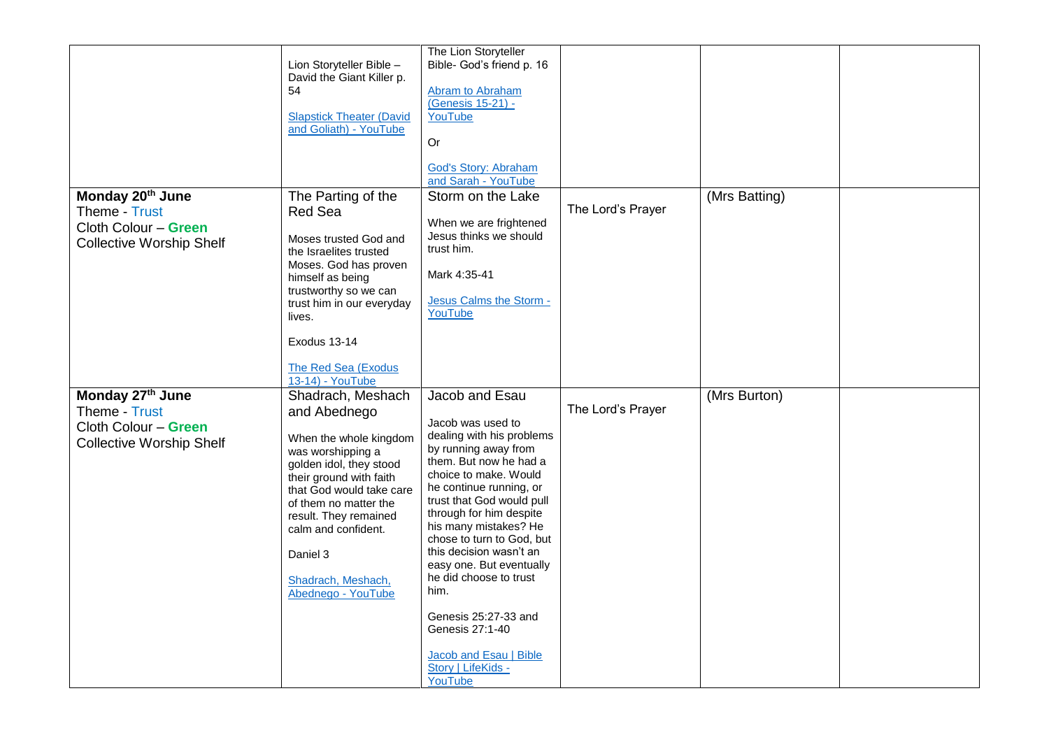|                                                                                                          | Lion Storyteller Bible -<br>David the Giant Killer p.<br>54<br><b>Slapstick Theater (David</b><br>and Goliath) - YouTube                                                                                                                                                                            | The Lion Storyteller<br>Bible- God's friend p. 16<br><b>Abram to Abraham</b><br>(Genesis 15-21) -<br>YouTube<br>0r                                                                                                                                                                                                                                                                                                                                                                  |                   |               |  |
|----------------------------------------------------------------------------------------------------------|-----------------------------------------------------------------------------------------------------------------------------------------------------------------------------------------------------------------------------------------------------------------------------------------------------|-------------------------------------------------------------------------------------------------------------------------------------------------------------------------------------------------------------------------------------------------------------------------------------------------------------------------------------------------------------------------------------------------------------------------------------------------------------------------------------|-------------------|---------------|--|
|                                                                                                          |                                                                                                                                                                                                                                                                                                     | God's Story: Abraham<br>and Sarah - YouTube                                                                                                                                                                                                                                                                                                                                                                                                                                         |                   |               |  |
| Monday 20 <sup>th</sup> June<br>Theme - Trust<br>Cloth Colour - Green<br><b>Collective Worship Shelf</b> | The Parting of the<br><b>Red Sea</b><br>Moses trusted God and<br>the Israelites trusted<br>Moses. God has proven<br>himself as being<br>trustworthy so we can<br>trust him in our everyday<br>lives.                                                                                                | Storm on the Lake<br>When we are frightened<br>Jesus thinks we should<br>trust him.<br>Mark 4:35-41<br>Jesus Calms the Storm -<br>YouTube                                                                                                                                                                                                                                                                                                                                           | The Lord's Prayer | (Mrs Batting) |  |
|                                                                                                          | Exodus 13-14<br>The Red Sea (Exodus<br>13-14) - YouTube                                                                                                                                                                                                                                             |                                                                                                                                                                                                                                                                                                                                                                                                                                                                                     |                   |               |  |
| Monday 27th June<br>Theme - Trust<br>Cloth Colour - Green<br><b>Collective Worship Shelf</b>             | Shadrach, Meshach<br>and Abednego<br>When the whole kingdom<br>was worshipping a<br>golden idol, they stood<br>their ground with faith<br>that God would take care<br>of them no matter the<br>result. They remained<br>calm and confident.<br>Daniel 3<br>Shadrach, Meshach,<br>Abednego - YouTube | Jacob and Esau<br>Jacob was used to<br>dealing with his problems<br>by running away from<br>them. But now he had a<br>choice to make. Would<br>he continue running, or<br>trust that God would pull<br>through for him despite<br>his many mistakes? He<br>chose to turn to God, but<br>this decision wasn't an<br>easy one. But eventually<br>he did choose to trust<br>him.<br>Genesis 25:27-33 and<br>Genesis 27:1-40<br>Jacob and Esau   Bible<br>Story   LifeKids -<br>YouTube | The Lord's Prayer | (Mrs Burton)  |  |